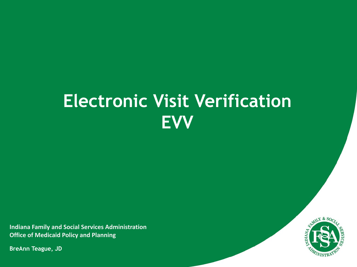# **Electronic Visit Verification EVV**

**Indiana Family and Social Services Administration Office of Medicaid Policy and Planning**

**BreAnn Teague, JD**

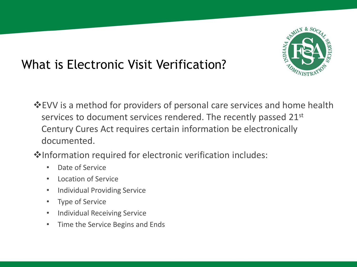

### What is Electronic Visit Verification?

- **EVV** is a method for providers of personal care services and home health services to document services rendered. The recently passed 21st Century Cures Act requires certain information be electronically documented.
- **V**Information required for electronic verification includes:
	- Date of Service
	- Location of Service
	- Individual Providing Service
	- Type of Service
	- Individual Receiving Service
	- Time the Service Begins and Ends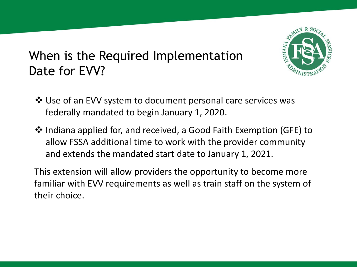

#### When is the Required Implementation Date for EVV?

- Use of an EVV system to document personal care services was federally mandated to begin January 1, 2020.
- **\*** Indiana applied for, and received, a Good Faith Exemption (GFE) to allow FSSA additional time to work with the provider community and extends the mandated start date to January 1, 2021.

This extension will allow providers the opportunity to become more familiar with EVV requirements as well as train staff on the system of their choice.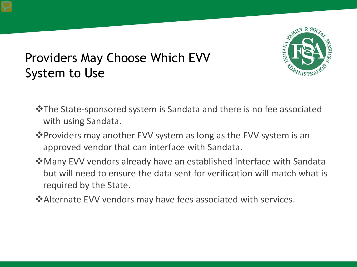

## Providers May Choose Which EVV System to Use

- The State-sponsored system is Sandata and there is no fee associated with using Sandata.
- **Example Feroviders may another EVV system as long as the EVV system is an** approved vendor that can interface with Sandata.
- Many EVV vendors already have an established interface with Sandata but will need to ensure the data sent for verification will match what is required by the State.
- **EXAlternate EVV vendors may have fees associated with services.**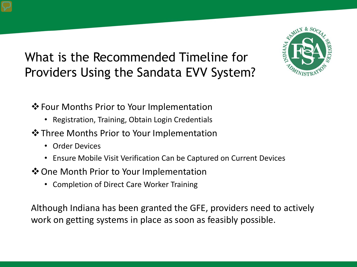## What is the Recommended Timeline for Providers Using the Sandata EVV System?

**V** Four Months Prior to Your Implementation

- Registration, Training, Obtain Login Credentials
- $*$  **Three Months Prior to Your Implementation** 
	- Order Devices
	- Ensure Mobile Visit Verification Can be Captured on Current Devices
- **V** One Month Prior to Your Implementation
	- Completion of Direct Care Worker Training

Although Indiana has been granted the GFE, providers need to actively work on getting systems in place as soon as feasibly possible.

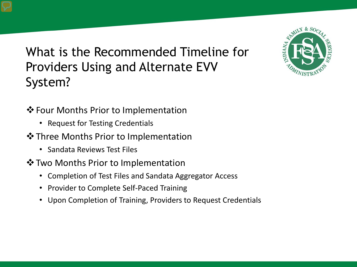What is the Recommended Timeline for Providers Using and Alternate EVV System?



- ❖ Four Months Prior to Implementation
	- Request for Testing Credentials
- **V** Three Months Prior to Implementation
	- Sandata Reviews Test Files
- **V** Two Months Prior to Implementation
	- Completion of Test Files and Sandata Aggregator Access
	- Provider to Complete Self-Paced Training
	- Upon Completion of Training, Providers to Request Credentials